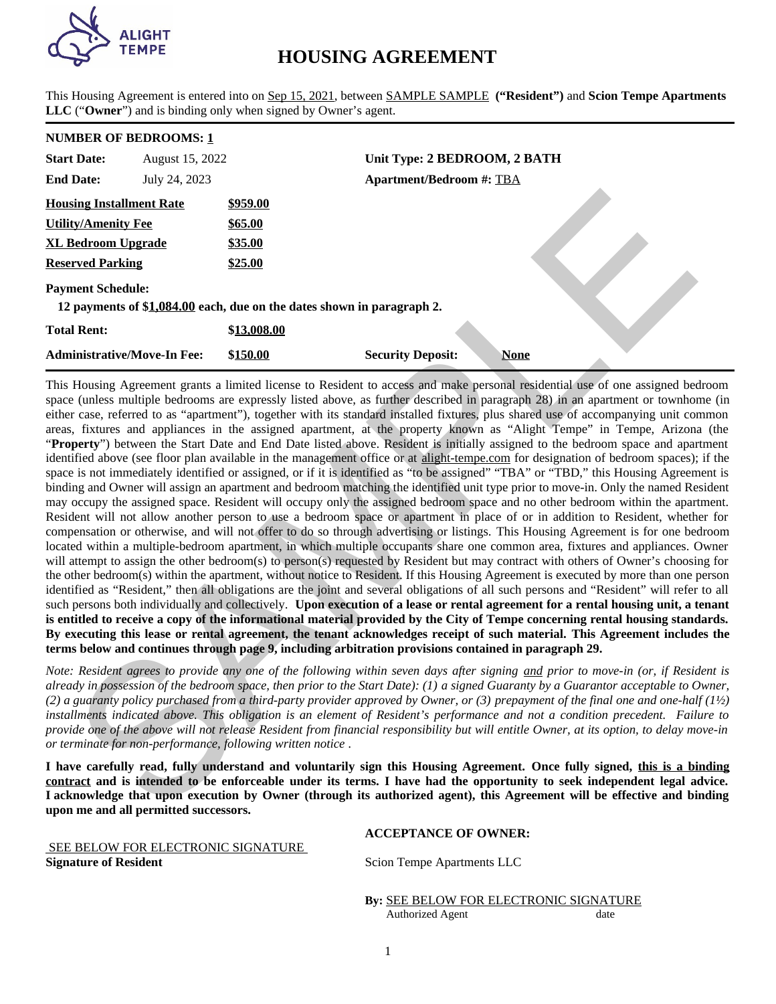

# **HOUSING AGREEMENT**

This Housing Agreement is entered into on Sep 15, 2021, between SAMPLE SAMPLE **("Resident")** and **Scion Tempe Apartments LLC** ("**Owner**") and is binding only when signed by Owner's agent.

# **NUMBER OF BEDROOMS: 1**

| <b>Start Date:</b>                 | August 15, 2022 |                                                                        | Unit Type: 2 BEDROOM, 2 BATH    |             |
|------------------------------------|-----------------|------------------------------------------------------------------------|---------------------------------|-------------|
| <b>End Date:</b>                   | July 24, 2023   |                                                                        | <b>Apartment/Bedroom #: TBA</b> |             |
| <b>Housing Installment Rate</b>    |                 | \$959.00                                                               |                                 |             |
| <b>Utility/Amenity Fee</b>         |                 | <b>\$65.00</b>                                                         |                                 |             |
| <b>XL Bedroom Upgrade</b>          |                 | \$35.00                                                                |                                 |             |
| <b>Reserved Parking</b>            |                 | \$25.00                                                                |                                 |             |
| <b>Payment Schedule:</b>           |                 | 12 payments of \$1,084.00 each, due on the dates shown in paragraph 2. |                                 |             |
| <b>Total Rent:</b>                 |                 | \$13,008.00                                                            |                                 |             |
| <b>Administrative/Move-In Fee:</b> |                 | \$150.00                                                               | <b>Security Deposit:</b>        | <b>None</b> |

This Housing Agreement grants a limited license to Resident to access and make personal residential use of one assigned bedroom space (unless multiple bedrooms are expressly listed above, as further described in paragraph 28) in an apartment or townhome (in either case, referred to as "apartment"), together with its standard installed fixtures, plus shared use of accompanying unit common areas, fixtures and appliances in the assigned apartment, at the property known as "Alight Tempe" in Tempe, Arizona (the "**Property**") between the Start Date and End Date listed above. Resident is initially assigned to the bedroom space and apartment identified above (see floor plan available in the management office or at alight-tempe.com for designation of bedroom spaces); if the space is not immediately identified or assigned, or if it is identified as "to be assigned" "TBA" or "TBD," this Housing Agreement is binding and Owner will assign an apartment and bedroom matching the identified unit type prior to move-in. Only the named Resident may occupy the assigned space. Resident will occupy only the assigned bedroom space and no other bedroom within the apartment. Resident will not allow another person to use a bedroom space or apartment in place of or in addition to Resident, whether for compensation or otherwise, and will not offer to do so through advertising or listings. This Housing Agreement is for one bedroom located within a multiple-bedroom apartment, in which multiple occupants share one common area, fixtures and appliances. Owner will attempt to assign the other bedroom(s) to person(s) requested by Resident but may contract with others of Owner's choosing for the other bedroom(s) within the apartment, without notice to Resident. If this Housing Agreement is executed by more than one person identified as "Resident," then all obligations are the joint and several obligations of all such persons and "Resident" will refer to all such persons both individually and collectively. **Upon execution of a lease or rental agreement for a rental housing unit, a tenant is entitled to receive a copy of the informational material provided by the City of Tempe concerning rental housing standards. By executing this lease or rental agreement, the tenant acknowledges receipt of such material. This Agreement includes the terms below and continues through page 9, including arbitration provisions contained in paragraph 29.** sing Installment Rate 5935.0.0<br>
SCALINENT Tee 555.5.0<br>
SCALINENT Tee 555.5.0<br>
SCALINENT Tee 55.5.0<br>
SCALINENT SCALINENT SCALINE SCALINE SCALINE (STALINE)<br>
SCALINE ARCHIVES SCALINE SCALINE SCALINE SCALINE SCALINE SCALINE S

*Note: Resident agrees to provide any one of the following within seven days after signing and prior to move-in (or, if Resident is already in possession of the bedroom space, then prior to the Start Date): (1) a signed Guaranty by a Guarantor acceptable to Owner, (2) a guaranty policy purchased from a third-party provider approved by Owner, or (3) prepayment of the final one and one-half (1½) installments indicated above. This obligation is an element of Resident's performance and not a condition precedent. Failure to provide one of the above will not release Resident from financial responsibility but will entitle Owner, at its option, to delay move-in or terminate for non-performance, following written notice .*

**I have carefully read, fully understand and voluntarily sign this Housing Agreement. Once fully signed, this is a binding contract and is intended to be enforceable under its terms. I have had the opportunity to seek independent legal advice. I acknowledge that upon execution by Owner (through its authorized agent), this Agreement will be effective and binding upon me and all permitted successors.**

## **ACCEPTANCE OF OWNER:**

 SEE BELOW FOR ELECTRONIC SIGNATURE **Signature of Resident** Scion Tempe Apartments LLC

**By:** SEE BELOW FOR ELECTRONIC SIGNATURE Authorized Agent date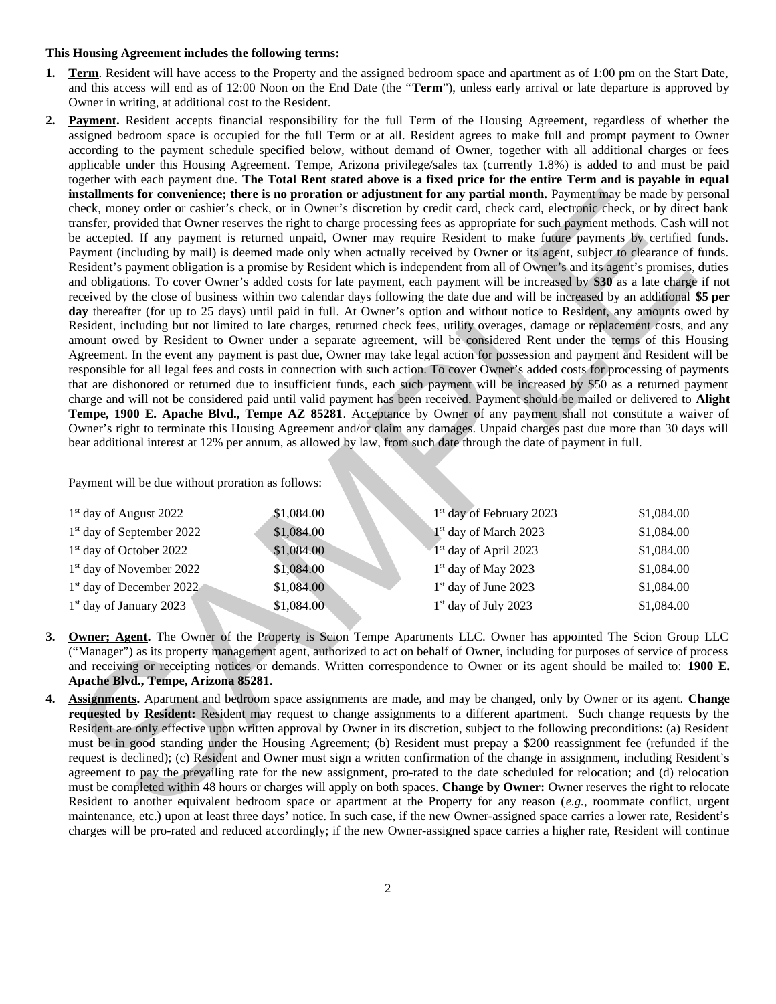#### **This Housing Agreement includes the following terms:**

- **1. Term**. Resident will have access to the Property and the assigned bedroom space and apartment as of 1:00 pm on the Start Date, and this access will end as of 12:00 Noon on the End Date (the "**Term**"), unless early arrival or late departure is approved by Owner in writing, at additional cost to the Resident.
- **2. Payment.** Resident accepts financial responsibility for the full Term of the Housing Agreement, regardless of whether the assigned bedroom space is occupied for the full Term or at all. Resident agrees to make full and prompt payment to Owner according to the payment schedule specified below, without demand of Owner, together with all additional charges or fees applicable under this Housing Agreement. Tempe, Arizona privilege/sales tax (currently 1.8%) is added to and must be paid together with each payment due. **The Total Rent stated above is a fixed price for the entire Term and is payable in equal installments for convenience; there is no proration or adjustment for any partial month.** Payment may be made by personal check, money order or cashier's check, or in Owner's discretion by credit card, check card, electronic check, or by direct bank transfer, provided that Owner reserves the right to charge processing fees as appropriate for such payment methods. Cash will not be accepted. If any payment is returned unpaid, Owner may require Resident to make future payments by certified funds. Payment (including by mail) is deemed made only when actually received by Owner or its agent, subject to clearance of funds. Resident's payment obligation is a promise by Resident which is independent from all of Owner's and its agent's promises, duties and obligations. To cover Owner's added costs for late payment, each payment will be increased by **\$30** as a late charge if not received by the close of business within two calendar days following the date due and will be increased by an additional **\$5 per day** thereafter (for up to 25 days) until paid in full. At Owner's option and without notice to Resident, any amounts owed by Resident, including but not limited to late charges, returned check fees, utility overages, damage or replacement costs, and any amount owed by Resident to Owner under a separate agreement, will be considered Rent under the terms of this Housing Agreement. In the event any payment is past due, Owner may take legal action for possession and payment and Resident will be responsible for all legal fees and costs in connection with such action. To cover Owner's added costs for processing of payments that are dishonored or returned due to insufficient funds, each such payment will be increased by \$50 as a returned payment charge and will not be considered paid until valid payment has been received. Payment should be mailed or delivered to **Alight Tempe, 1900 E. Apache Blvd., Tempe AZ 85281**. Acceptance by Owner of any payment shall not constitute a waiver of Owner's right to terminate this Housing Agreement and/or claim any damages. Unpaid charges past due more than 30 days will bear additional interest at 12% per annum, as allowed by law, from such date through the date of payment in full. invalinents for convenience; there is no providen or adjustment for any partial menth. Payment into the by-mental into the securities the securities the securities the securities the securities of the securities of the se

Payment will be due without proration as follows:

| $1st$ day of August 2022              | \$1,084.00 | 1 <sup>st</sup> day of February 2023 | \$1,084.00 |
|---------------------------------------|------------|--------------------------------------|------------|
| 1 <sup>st</sup> day of September 2022 | \$1,084.00 | 1 <sup>st</sup> day of March 2023    | \$1,084.00 |
| 1 <sup>st</sup> day of October 2022   | \$1,084.00 | 1 <sup>st</sup> day of April 2023    | \$1,084.00 |
| 1 <sup>st</sup> day of November 2022  | \$1,084.00 | $1st$ day of May 2023                | \$1,084.00 |
| 1 <sup>st</sup> day of December 2022  | \$1,084.00 | $1st$ day of June 2023               | \$1,084.00 |
| $1st$ day of January 2023             | \$1,084.00 | $1st$ day of July 2023               | \$1,084.00 |

- **3. Owner; Agent.** The Owner of the Property is Scion Tempe Apartments LLC. Owner has appointed The Scion Group LLC ("Manager") as its property management agent, authorized to act on behalf of Owner, including for purposes of service of process and receiving or receipting notices or demands. Written correspondence to Owner or its agent should be mailed to: **1900 E. Apache Blvd., Tempe, Arizona 85281**.
- **4. Assignments.** Apartment and bedroom space assignments are made, and may be changed, only by Owner or its agent. **Change requested by Resident:** Resident may request to change assignments to a different apartment. Such change requests by the Resident are only effective upon written approval by Owner in its discretion, subject to the following preconditions: (a) Resident must be in good standing under the Housing Agreement; (b) Resident must prepay a \$200 reassignment fee (refunded if the request is declined); (c) Resident and Owner must sign a written confirmation of the change in assignment, including Resident's agreement to pay the prevailing rate for the new assignment, pro-rated to the date scheduled for relocation; and (d) relocation must be completed within 48 hours or charges will apply on both spaces. **Change by Owner:** Owner reserves the right to relocate Resident to another equivalent bedroom space or apartment at the Property for any reason (*e.g.,* roommate conflict, urgent maintenance, etc.) upon at least three days' notice. In such case, if the new Owner-assigned space carries a lower rate, Resident's charges will be pro-rated and reduced accordingly; if the new Owner-assigned space carries a higher rate, Resident will continue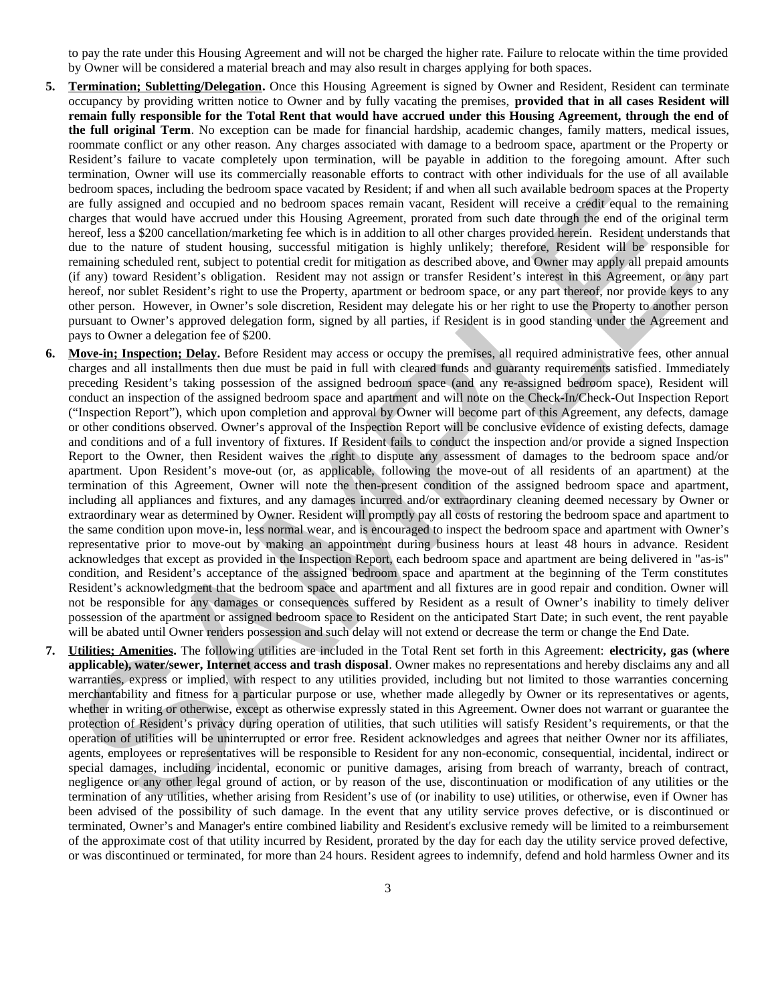to pay the rate under this Housing Agreement and will not be charged the higher rate. Failure to relocate within the time provided by Owner will be considered a material breach and may also result in charges applying for both spaces.

- **5. Termination; Subletting/Delegation.** Once this Housing Agreement is signed by Owner and Resident, Resident can terminate occupancy by providing written notice to Owner and by fully vacating the premises, **provided that in all cases Resident will remain fully responsible for the Total Rent that would have accrued under this Housing Agreement, through the end of the full original Term**. No exception can be made for financial hardship, academic changes, family matters, medical issues, roommate conflict or any other reason. Any charges associated with damage to a bedroom space, apartment or the Property or Resident's failure to vacate completely upon termination, will be payable in addition to the foregoing amount. After such termination, Owner will use its commercially reasonable efforts to contract with other individuals for the use of all available bedroom spaces, including the bedroom space vacated by Resident; if and when all such available bedroom spaces at the Property are fully assigned and occupied and no bedroom spaces remain vacant, Resident will receive a credit equal to the remaining charges that would have accrued under this Housing Agreement, prorated from such date through the end of the original term hereof, less a \$200 cancellation/marketing fee which is in addition to all other charges provided herein. Resident understands that due to the nature of student housing, successful mitigation is highly unlikely; therefore, Resident will be responsible for remaining scheduled rent, subject to potential credit for mitigation as described above, and Owner may apply all prepaid amounts (if any) toward Resident's obligation. Resident may not assign or transfer Resident's interest in this Agreement, or any part hereof, nor sublet Resident's right to use the Property, apartment or bedroom space, or any part thereof, nor provide keys to any other person. However, in Owner's sole discretion, Resident may delegate his or her right to use the Property to another person pursuant to Owner's approved delegation form, signed by all parties, if Resident is in good standing under the Agreement and pays to Owner a delegation fee of \$200.
- **6. Move-in; Inspection; Delay.** Before Resident may access or occupy the premises, all required administrative fees, other annual charges and all installments then due must be paid in full with cleared funds and guaranty requirements satisfied. Immediately preceding Resident's taking possession of the assigned bedroom space (and any re-assigned bedroom space), Resident will conduct an inspection of the assigned bedroom space and apartment and will note on the Check-In/Check-Out Inspection Report ("Inspection Report"), which upon completion and approval by Owner will become part of this Agreement, any defects, damage or other conditions observed. Owner's approval of the Inspection Report will be conclusive evidence of existing defects, damage and conditions and of a full inventory of fixtures. If Resident fails to conduct the inspection and/or provide a signed Inspection Report to the Owner, then Resident waives the right to dispute any assessment of damages to the bedroom space and/or apartment. Upon Resident's move-out (or, as applicable, following the move-out of all residents of an apartment) at the termination of this Agreement, Owner will note the then-present condition of the assigned bedroom space and apartment, including all appliances and fixtures, and any damages incurred and/or extraordinary cleaning deemed necessary by Owner or extraordinary wear as determined by Owner. Resident will promptly pay all costs of restoring the bedroom space and apartment to the same condition upon move-in, less normal wear, and is encouraged to inspect the bedroom space and apartment with Owner's representative prior to move-out by making an appointment during business hours at least 48 hours in advance. Resident acknowledges that except as provided in the Inspection Report, each bedroom space and apartment are being delivered in "as-is" condition, and Resident's acceptance of the assigned bedroom space and apartment at the beginning of the Term constitutes Resident's acknowledgment that the bedroom space and apartment and all fixtures are in good repair and condition. Owner will not be responsible for any damages or consequences suffered by Resident as a result of Owner's inability to timely deliver possession of the apartment or assigned bedroom space to Resident on the anticipated Start Date; in such event, the rent payable will be abated until Owner renders possession and such delay will not extend or decrease the term or change the End Date. between spaces, including the between space vacinal by location spaces multing with a single between spaces at the Figure of the space vacinal by location spaces multing at the system in the system of the system of the sy
- **7. Utilities; Amenities.** The following utilities are included in the Total Rent set forth in this Agreement: **electricity, gas (where applicable), water/sewer, Internet access and trash disposal**. Owner makes no representations and hereby disclaims any and all warranties, express or implied, with respect to any utilities provided, including but not limited to those warranties concerning merchantability and fitness for a particular purpose or use, whether made allegedly by Owner or its representatives or agents, whether in writing or otherwise, except as otherwise expressly stated in this Agreement. Owner does not warrant or guarantee the protection of Resident's privacy during operation of utilities, that such utilities will satisfy Resident's requirements, or that the operation of utilities will be uninterrupted or error free. Resident acknowledges and agrees that neither Owner nor its affiliates, agents, employees or representatives will be responsible to Resident for any non-economic, consequential, incidental, indirect or special damages, including incidental, economic or punitive damages, arising from breach of warranty, breach of contract, negligence or any other legal ground of action, or by reason of the use, discontinuation or modification of any utilities or the termination of any utilities, whether arising from Resident's use of (or inability to use) utilities, or otherwise, even if Owner has been advised of the possibility of such damage. In the event that any utility service proves defective, or is discontinued or terminated, Owner's and Manager's entire combined liability and Resident's exclusive remedy will be limited to a reimbursement of the approximate cost of that utility incurred by Resident, prorated by the day for each day the utility service proved defective, or was discontinued or terminated, for more than 24 hours. Resident agrees to indemnify, defend and hold harmless Owner and its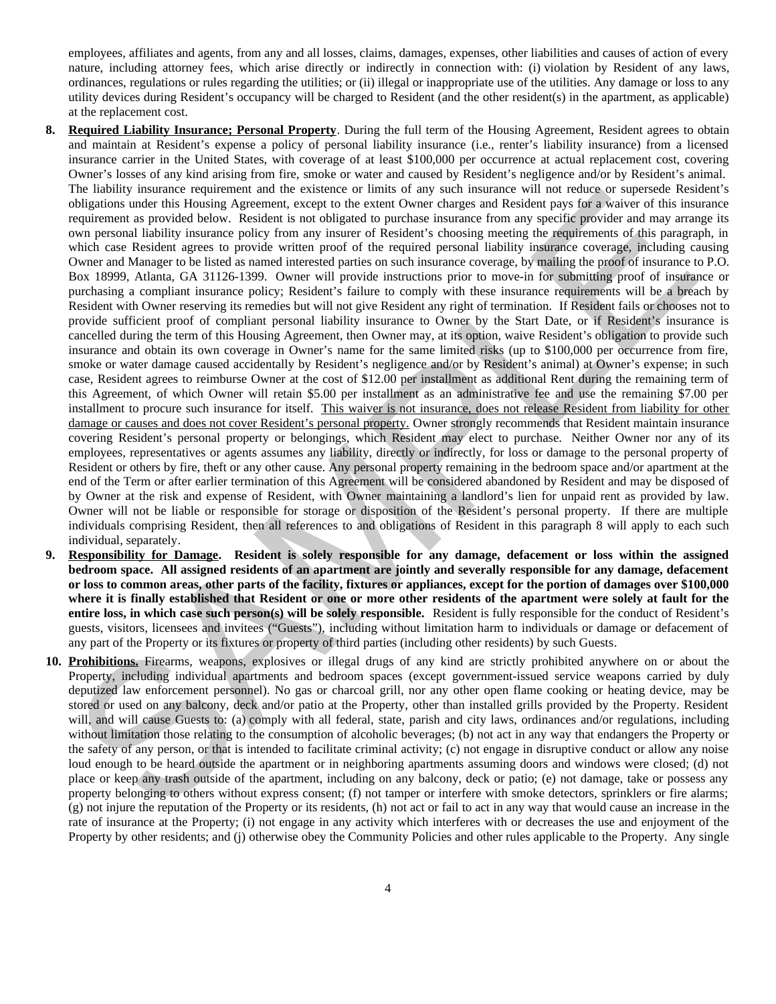employees, affiliates and agents, from any and all losses, claims, damages, expenses, other liabilities and causes of action of every nature, including attorney fees, which arise directly or indirectly in connection with: (i) violation by Resident of any laws, ordinances, regulations or rules regarding the utilities; or (ii) illegal or inappropriate use of the utilities. Any damage or loss to any utility devices during Resident's occupancy will be charged to Resident (and the other resident(s) in the apartment, as applicable) at the replacement cost.

- **8. Required Liability Insurance; Personal Property**. During the full term of the Housing Agreement, Resident agrees to obtain and maintain at Resident's expense a policy of personal liability insurance (i.e., renter's liability insurance) from a licensed insurance carrier in the United States, with coverage of at least \$100,000 per occurrence at actual replacement cost, covering Owner's losses of any kind arising from fire, smoke or water and caused by Resident's negligence and/or by Resident's animal. The liability insurance requirement and the existence or limits of any such insurance will not reduce or supersede Resident's obligations under this Housing Agreement, except to the extent Owner charges and Resident pays for a waiver of this insurance requirement as provided below. Resident is not obligated to purchase insurance from any specific provider and may arrange its own personal liability insurance policy from any insurer of Resident's choosing meeting the requirements of this paragraph, in which case Resident agrees to provide written proof of the required personal liability insurance coverage, including causing Owner and Manager to be listed as named interested parties on such insurance coverage, by mailing the proof of insurance to P.O. Box 18999, Atlanta, GA 31126-1399. Owner will provide instructions prior to move-in for submitting proof of insurance or purchasing a compliant insurance policy; Resident's failure to comply with these insurance requirements will be a breach by Resident with Owner reserving its remedies but will not give Resident any right of termination. If Resident fails or chooses not to provide sufficient proof of compliant personal liability insurance to Owner by the Start Date, or if Resident's insurance is cancelled during the term of this Housing Agreement, then Owner may, at its option, waive Resident's obligation to provide such insurance and obtain its own coverage in Owner's name for the same limited risks (up to \$100,000 per occurrence from fire, smoke or water damage caused accidentally by Resident's negligence and/or by Resident's animal) at Owner's expense; in such case, Resident agrees to reimburse Owner at the cost of \$12.00 per installment as additional Rent during the remaining term of this Agreement, of which Owner will retain \$5.00 per installment as an administrative fee and use the remaining \$7.00 per installment to procure such insurance for itself. This waiver is not insurance, does not release Resident from liability for other damage or causes and does not cover Resident's personal property. Owner strongly recommends that Resident maintain insurance covering Resident's personal property or belongings, which Resident may elect to purchase. Neither Owner nor any of its employees, representatives or agents assumes any liability, directly or indirectly, for loss or damage to the personal property of Resident or others by fire, theft or any other cause. Any personal property remaining in the bedroom space and/or apartment at the end of the Term or after earlier termination of this Agreement will be considered abandoned by Resident and may be disposed of by Owner at the risk and expense of Resident, with Owner maintaining a landlord's lien for unpaid rent as provided by law. Owner will not be liable or responsible for storage or disposition of the Resident's personal property. If there are multiple individuals comprising Resident, then all references to and obligations of Resident in this paragraph 8 will apply to each such individual, separately. The intelligent market requentes to meet examine of the state of meeting and means example for any state of the state of state of state of the state of the state of the state of the state of the state of the state of the s
- **9. Responsibility for Damage. Resident is solely responsible for any damage, defacement or loss within the assigned bedroom space. All assigned residents of an apartment are jointly and severally responsible for any damage, defacement or loss to common areas, other parts of the facility, fixtures or appliances, except for the portion of damages over \$100,000 where it is finally established that Resident or one or more other residents of the apartment were solely at fault for the entire loss, in which case such person(s) will be solely responsible.** Resident is fully responsible for the conduct of Resident's guests, visitors, licensees and invitees ("Guests"), including without limitation harm to individuals or damage or defacement of any part of the Property or its fixtures or property of third parties (including other residents) by such Guests.
- **10. Prohibitions.** Firearms, weapons, explosives or illegal drugs of any kind are strictly prohibited anywhere on or about the Property, including individual apartments and bedroom spaces (except government-issued service weapons carried by duly deputized law enforcement personnel). No gas or charcoal grill, nor any other open flame cooking or heating device, may be stored or used on any balcony, deck and/or patio at the Property, other than installed grills provided by the Property. Resident will, and will cause Guests to: (a) comply with all federal, state, parish and city laws, ordinances and/or regulations, including without limitation those relating to the consumption of alcoholic beverages; (b) not act in any way that endangers the Property or the safety of any person, or that is intended to facilitate criminal activity; (c) not engage in disruptive conduct or allow any noise loud enough to be heard outside the apartment or in neighboring apartments assuming doors and windows were closed; (d) not place or keep any trash outside of the apartment, including on any balcony, deck or patio; (e) not damage, take or possess any property belonging to others without express consent; (f) not tamper or interfere with smoke detectors, sprinklers or fire alarms; (g) not injure the reputation of the Property or its residents, (h) not act or fail to act in any way that would cause an increase in the rate of insurance at the Property; (i) not engage in any activity which interferes with or decreases the use and enjoyment of the Property by other residents; and (j) otherwise obey the Community Policies and other rules applicable to the Property. Any single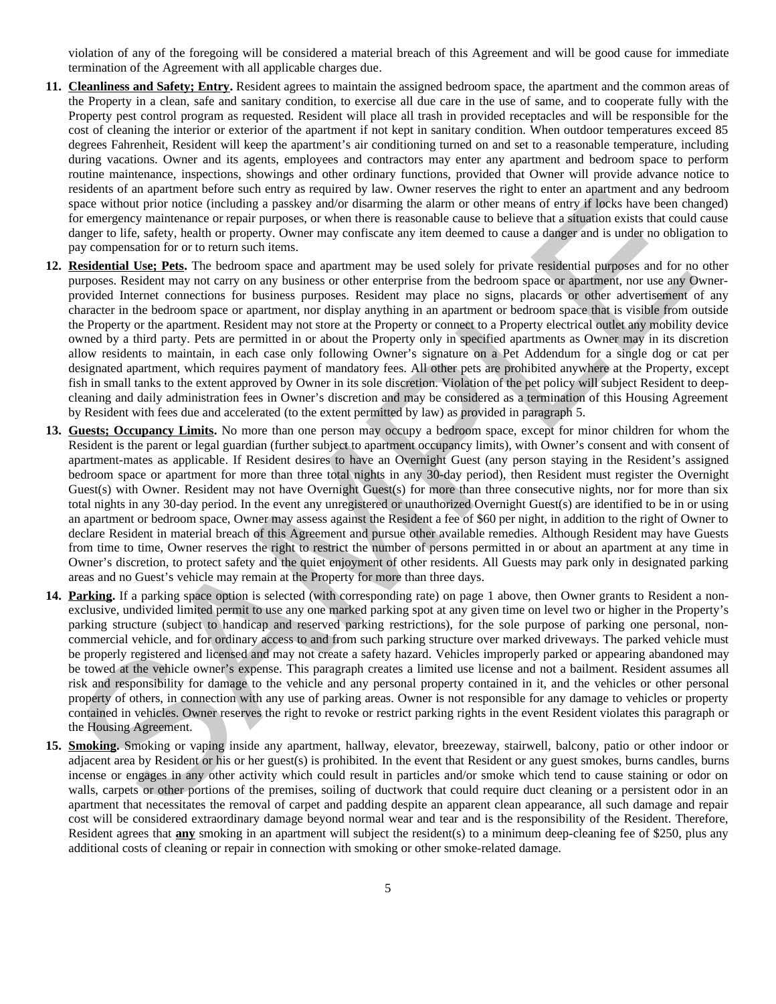violation of any of the foregoing will be considered a material breach of this Agreement and will be good cause for immediate termination of the Agreement with all applicable charges due.

- **11. Cleanliness and Safety; Entry.** Resident agrees to maintain the assigned bedroom space, the apartment and the common areas of the Property in a clean, safe and sanitary condition, to exercise all due care in the use of same, and to cooperate fully with the Property pest control program as requested. Resident will place all trash in provided receptacles and will be responsible for the cost of cleaning the interior or exterior of the apartment if not kept in sanitary condition. When outdoor temperatures exceed 85 degrees Fahrenheit, Resident will keep the apartment's air conditioning turned on and set to a reasonable temperature, including during vacations. Owner and its agents, employees and contractors may enter any apartment and bedroom space to perform routine maintenance, inspections, showings and other ordinary functions, provided that Owner will provide advance notice to residents of an apartment before such entry as required by law. Owner reserves the right to enter an apartment and any bedroom space without prior notice (including a passkey and/or disarming the alarm or other means of entry if locks have been changed) for emergency maintenance or repair purposes, or when there is reasonable cause to believe that a situation exists that could cause danger to life, safety, health or property. Owner may confiscate any item deemed to cause a danger and is under no obligation to pay compensation for or to return such items.
- **12. Residential Use; Pets.** The bedroom space and apartment may be used solely for private residential purposes and for no other purposes. Resident may not carry on any business or other enterprise from the bedroom space or apartment, nor use any Ownerprovided Internet connections for business purposes. Resident may place no signs, placards or other advertisement of any character in the bedroom space or apartment, nor display anything in an apartment or bedroom space that is visible from outside the Property or the apartment. Resident may not store at the Property or connect to a Property electrical outlet any mobility device owned by a third party. Pets are permitted in or about the Property only in specified apartments as Owner may in its discretion allow residents to maintain, in each case only following Owner's signature on a Pet Addendum for a single dog or cat per designated apartment, which requires payment of mandatory fees. All other pets are prohibited anywhere at the Property, except fish in small tanks to the extent approved by Owner in its sole discretion. Violation of the pet policy will subject Resident to deepcleaning and daily administration fees in Owner's discretion and may be considered as a termination of this Housing Agreement by Resident with fees due and accelerated (to the extent permitted by law) as provided in paragraph 5.
- **13. Guests; Occupancy Limits.** No more than one person may occupy a bedroom space, except for minor children for whom the Resident is the parent or legal guardian (further subject to apartment occupancy limits), with Owner's consent and with consent of apartment-mates as applicable. If Resident desires to have an Overnight Guest (any person staying in the Resident's assigned bedroom space or apartment for more than three total nights in any 30-day period), then Resident must register the Overnight Guest(s) with Owner. Resident may not have Overnight Guest(s) for more than three consecutive nights, nor for more than six total nights in any 30-day period. In the event any unregistered or unauthorized Overnight Guest(s) are identified to be in or using an apartment or bedroom space, Owner may assess against the Resident a fee of \$60 per night, in addition to the right of Owner to declare Resident in material breach of this Agreement and pursue other available remedies. Although Resident may have Guests from time to time, Owner reserves the right to restrict the number of persons permitted in or about an apartment at any time in Owner's discretion, to protect safety and the quiet enjoyment of other residents. All Guests may park only in designated parking areas and no Guest's vehicle may remain at the Property for more than three days. resistents on anominal between the three such entry. Owner resistents on the regard one is an anominal between the state of the state of the state of the state of the state of the state of the state of the state of the sta
- **14. Parking.** If a parking space option is selected (with corresponding rate) on page 1 above, then Owner grants to Resident a nonexclusive, undivided limited permit to use any one marked parking spot at any given time on level two or higher in the Property's parking structure (subject to handicap and reserved parking restrictions), for the sole purpose of parking one personal, noncommercial vehicle, and for ordinary access to and from such parking structure over marked driveways. The parked vehicle must be properly registered and licensed and may not create a safety hazard. Vehicles improperly parked or appearing abandoned may be towed at the vehicle owner's expense. This paragraph creates a limited use license and not a bailment. Resident assumes all risk and responsibility for damage to the vehicle and any personal property contained in it, and the vehicles or other personal property of others, in connection with any use of parking areas. Owner is not responsible for any damage to vehicles or property contained in vehicles. Owner reserves the right to revoke or restrict parking rights in the event Resident violates this paragraph or the Housing Agreement.
- **15. Smoking.** Smoking or vaping inside any apartment, hallway, elevator, breezeway, stairwell, balcony, patio or other indoor or adjacent area by Resident or his or her guest(s) is prohibited. In the event that Resident or any guest smokes, burns candles, burns incense or engages in any other activity which could result in particles and/or smoke which tend to cause staining or odor on walls, carpets or other portions of the premises, soiling of ductwork that could require duct cleaning or a persistent odor in an apartment that necessitates the removal of carpet and padding despite an apparent clean appearance, all such damage and repair cost will be considered extraordinary damage beyond normal wear and tear and is the responsibility of the Resident. Therefore, Resident agrees that **any** smoking in an apartment will subject the resident(s) to a minimum deep-cleaning fee of \$250, plus any additional costs of cleaning or repair in connection with smoking or other smoke-related damage.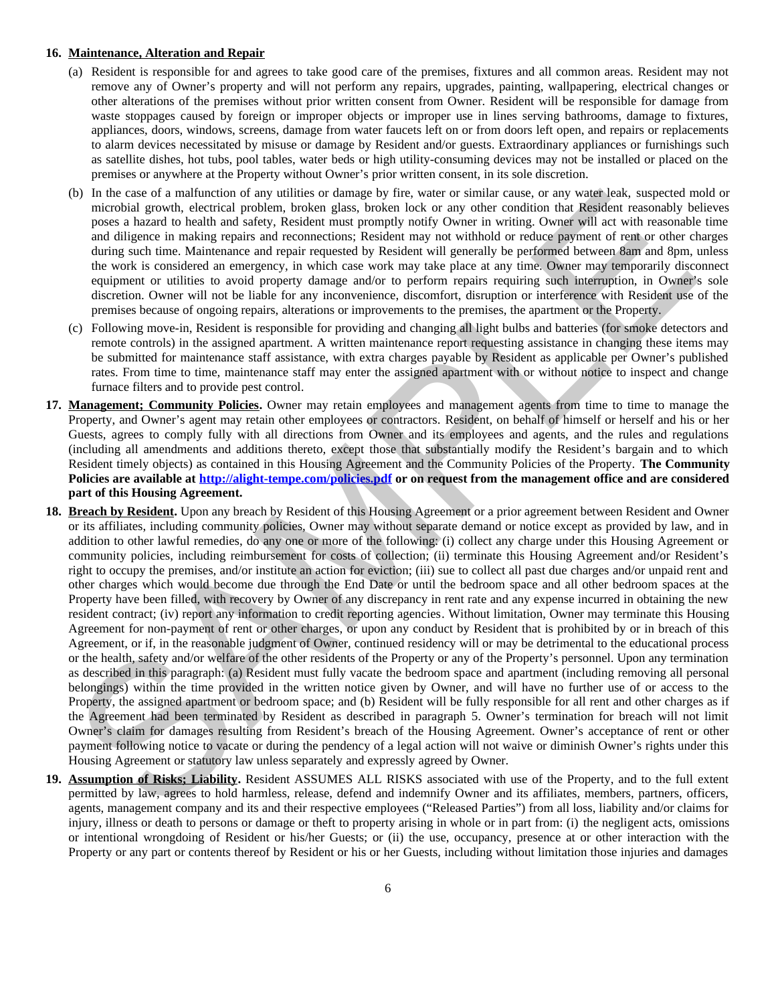### **16. Maintenance, Alteration and Repair**

- (a) Resident is responsible for and agrees to take good care of the premises, fixtures and all common areas. Resident may not remove any of Owner's property and will not perform any repairs, upgrades, painting, wallpapering, electrical changes or other alterations of the premises without prior written consent from Owner. Resident will be responsible for damage from waste stoppages caused by foreign or improper objects or improper use in lines serving bathrooms, damage to fixtures, appliances, doors, windows, screens, damage from water faucets left on or from doors left open, and repairs or replacements to alarm devices necessitated by misuse or damage by Resident and/or guests. Extraordinary appliances or furnishings such as satellite dishes, hot tubs, pool tables, water beds or high utility-consuming devices may not be installed or placed on the premises or anywhere at the Property without Owner's prior written consent, in its sole discretion.
- (b) In the case of a malfunction of any utilities or damage by fire, water or similar cause, or any water leak, suspected mold or microbial growth, electrical problem, broken glass, broken lock or any other condition that Resident reasonably believes poses a hazard to health and safety, Resident must promptly notify Owner in writing. Owner will act with reasonable time and diligence in making repairs and reconnections; Resident may not withhold or reduce payment of rent or other charges during such time. Maintenance and repair requested by Resident will generally be performed between 8am and 8pm, unless the work is considered an emergency, in which case work may take place at any time. Owner may temporarily disconnect equipment or utilities to avoid property damage and/or to perform repairs requiring such interruption, in Owner's sole discretion. Owner will not be liable for any inconvenience, discomfort, disruption or interference with Resident use of the premises because of ongoing repairs, alterations or improvements to the premises, the apartment or the Property.
- (c) Following move-in, Resident is responsible for providing and changing all light bulbs and batteries (for smoke detectors and remote controls) in the assigned apartment. A written maintenance report requesting assistance in changing these items may be submitted for maintenance staff assistance, with extra charges payable by Resident as applicable per Owner's published rates. From time to time, maintenance staff may enter the assigned apartment with or without notice to inspect and change furnace filters and to provide pest control.
- **17. Management; Community Policies.** Owner may retain employees and management agents from time to time to manage the Property, and Owner's agent may retain other employees or contractors. Resident, on behalf of himself or herself and his or her Guests, agrees to comply fully with all directions from Owner and its employees and agents, and the rules and regulations (including all amendments and additions thereto, except those that substantially modify the Resident's bargain and to which Resident timely objects) as contained in this Housing Agreement and the Community Policies of the Property. **The Community Policies are available at http://alight-tempe.com/policies.pdf or on request from the management office and are considered part of this Housing Agreement.**
- **18. Breach by Resident.** Upon any breach by Resident of this Housing Agreement or a prior agreement between Resident and Owner or its affiliates, including community policies, Owner may without separate demand or notice except as provided by law, and in addition to other lawful remedies, do any one or more of the following: (i) collect any charge under this Housing Agreement or community policies, including reimbursement for costs of collection; (ii) terminate this Housing Agreement and/or Resident's right to occupy the premises, and/or institute an action for eviction; (iii) sue to collect all past due charges and/or unpaid rent and other charges which would become due through the End Date or until the bedroom space and all other bedroom spaces at the Property have been filled, with recovery by Owner of any discrepancy in rent rate and any expense incurred in obtaining the new resident contract; (iv) report any information to credit reporting agencies. Without limitation, Owner may terminate this Housing Agreement for non-payment of rent or other charges, or upon any conduct by Resident that is prohibited by or in breach of this Agreement, or if, in the reasonable judgment of Owner, continued residency will or may be detrimental to the educational process or the health, safety and/or welfare of the other residents of the Property or any of the Property's personnel. Upon any termination as described in this paragraph: (a) Resident must fully vacate the bedroom space and apartment (including removing all personal belongings) within the time provided in the written notice given by Owner, and will have no further use of or access to the Property, the assigned apartment or bedroom space; and (b) Resident will be fully responsible for all rent and other charges as if the Agreement had been terminated by Resident as described in paragraph 5. Owner's termination for breach will not limit Owner's claim for damages resulting from Resident's breach of the Housing Agreement. Owner's acceptance of rent or other payment following notice to vacate or during the pendency of a legal action will not waive or diminish Owner's rights under this Housing Agreement or statutory law unless separately and expressly agreed by Owner. (b) In the case of a mailmraning of any will<br>the socialistic scharage by the ware considerably and the case of a<br>sympathe and sales and the mail case of a main consider any other in the<br>sympathe and diligence in mainla gr
- **19. Assumption of Risks; Liability.** Resident ASSUMES ALL RISKS associated with use of the Property, and to the full extent permitted by law, agrees to hold harmless, release, defend and indemnify Owner and its affiliates, members, partners, officers, agents, management company and its and their respective employees ("Released Parties") from all loss, liability and/or claims for injury, illness or death to persons or damage or theft to property arising in whole or in part from: (i) the negligent acts, omissions or intentional wrongdoing of Resident or his/her Guests; or (ii) the use, occupancy, presence at or other interaction with the Property or any part or contents thereof by Resident or his or her Guests, including without limitation those injuries and damages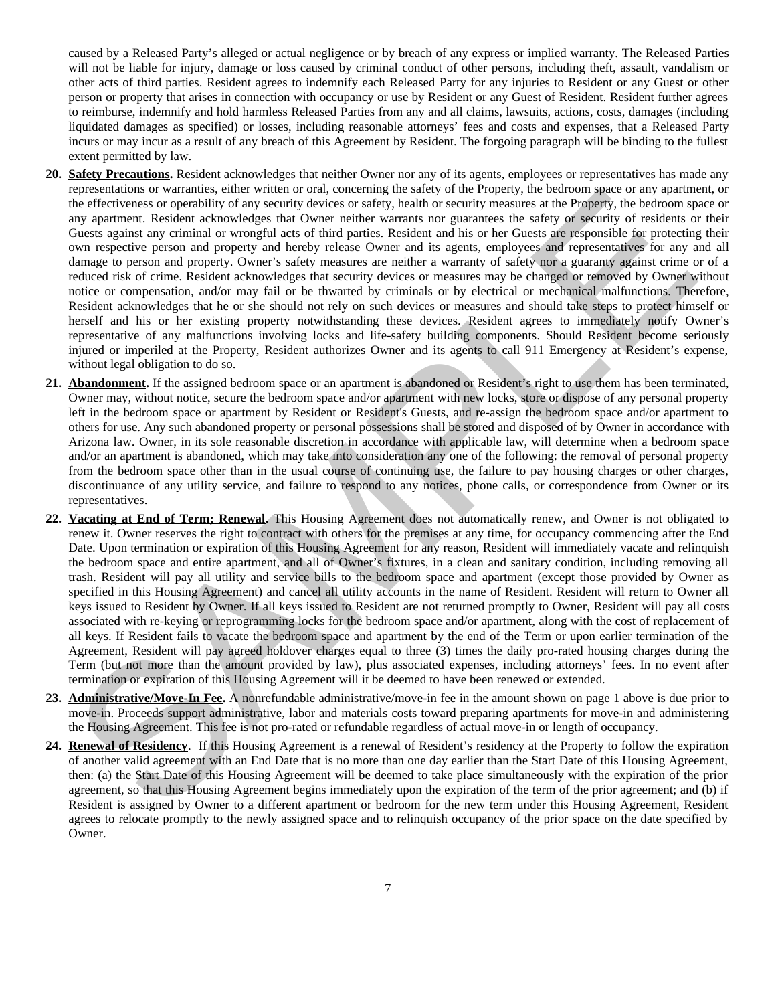caused by a Released Party's alleged or actual negligence or by breach of any express or implied warranty. The Released Parties will not be liable for injury, damage or loss caused by criminal conduct of other persons, including theft, assault, vandalism or other acts of third parties. Resident agrees to indemnify each Released Party for any injuries to Resident or any Guest or other person or property that arises in connection with occupancy or use by Resident or any Guest of Resident. Resident further agrees to reimburse, indemnify and hold harmless Released Parties from any and all claims, lawsuits, actions, costs, damages (including liquidated damages as specified) or losses, including reasonable attorneys' fees and costs and expenses, that a Released Party incurs or may incur as a result of any breach of this Agreement by Resident. The forgoing paragraph will be binding to the fullest extent permitted by law.

- **20. Safety Precautions.** Resident acknowledges that neither Owner nor any of its agents, employees or representatives has made any representations or warranties, either written or oral, concerning the safety of the Property, the bedroom space or any apartment, or the effectiveness or operability of any security devices or safety, health or security measures at the Property, the bedroom space or any apartment. Resident acknowledges that Owner neither warrants nor guarantees the safety or security of residents or their Guests against any criminal or wrongful acts of third parties. Resident and his or her Guests are responsible for protecting their own respective person and property and hereby release Owner and its agents, employees and representatives for any and all damage to person and property. Owner's safety measures are neither a warranty of safety nor a guaranty against crime or of a reduced risk of crime. Resident acknowledges that security devices or measures may be changed or removed by Owner without notice or compensation, and/or may fail or be thwarted by criminals or by electrical or mechanical malfunctions. Therefore, Resident acknowledges that he or she should not rely on such devices or measures and should take steps to protect himself or herself and his or her existing property notwithstanding these devices. Resident agrees to immediately notify Owner's representative of any malfunctions involving locks and life-safety building components. Should Resident become seriously injured or imperiled at the Property, Resident authorizes Owner and its agents to call 911 Emergency at Resident's expense, without legal obligation to do so. representations or warmines, etme warmen o onl, concerning are slately of the Property, are becomes pare a car<br>of the effectiveness or operating of any security device or safety, fuell or occurity measures at the Property,
- **21. Abandonment.** If the assigned bedroom space or an apartment is abandoned or Resident's right to use them has been terminated, Owner may, without notice, secure the bedroom space and/or apartment with new locks, store or dispose of any personal property left in the bedroom space or apartment by Resident or Resident's Guests, and re-assign the bedroom space and/or apartment to others for use. Any such abandoned property or personal possessions shall be stored and disposed of by Owner in accordance with Arizona law. Owner, in its sole reasonable discretion in accordance with applicable law, will determine when a bedroom space and/or an apartment is abandoned, which may take into consideration any one of the following: the removal of personal property from the bedroom space other than in the usual course of continuing use, the failure to pay housing charges or other charges, discontinuance of any utility service, and failure to respond to any notices, phone calls, or correspondence from Owner or its representatives.
- **22. Vacating at End of Term; Renewal.** This Housing Agreement does not automatically renew, and Owner is not obligated to renew it. Owner reserves the right to contract with others for the premises at any time, for occupancy commencing after the End Date. Upon termination or expiration of this Housing Agreement for any reason, Resident will immediately vacate and relinquish the bedroom space and entire apartment, and all of Owner's fixtures, in a clean and sanitary condition, including removing all trash. Resident will pay all utility and service bills to the bedroom space and apartment (except those provided by Owner as specified in this Housing Agreement) and cancel all utility accounts in the name of Resident. Resident will return to Owner all keys issued to Resident by Owner. If all keys issued to Resident are not returned promptly to Owner, Resident will pay all costs associated with re-keying or reprogramming locks for the bedroom space and/or apartment, along with the cost of replacement of all keys. If Resident fails to vacate the bedroom space and apartment by the end of the Term or upon earlier termination of the Agreement, Resident will pay agreed holdover charges equal to three (3) times the daily pro-rated housing charges during the Term (but not more than the amount provided by law), plus associated expenses, including attorneys' fees. In no event after termination or expiration of this Housing Agreement will it be deemed to have been renewed or extended.
- **23. Administrative/Move-In Fee.** A nonrefundable administrative/move-in fee in the amount shown on page 1 above is due prior to move-in. Proceeds support administrative, labor and materials costs toward preparing apartments for move-in and administering the Housing Agreement. This fee is not pro-rated or refundable regardless of actual move-in or length of occupancy.
- **24. Renewal of Residency**. If this Housing Agreement is a renewal of Resident's residency at the Property to follow the expiration of another valid agreement with an End Date that is no more than one day earlier than the Start Date of this Housing Agreement, then: (a) the Start Date of this Housing Agreement will be deemed to take place simultaneously with the expiration of the prior agreement, so that this Housing Agreement begins immediately upon the expiration of the term of the prior agreement; and (b) if Resident is assigned by Owner to a different apartment or bedroom for the new term under this Housing Agreement, Resident agrees to relocate promptly to the newly assigned space and to relinquish occupancy of the prior space on the date specified by Owner.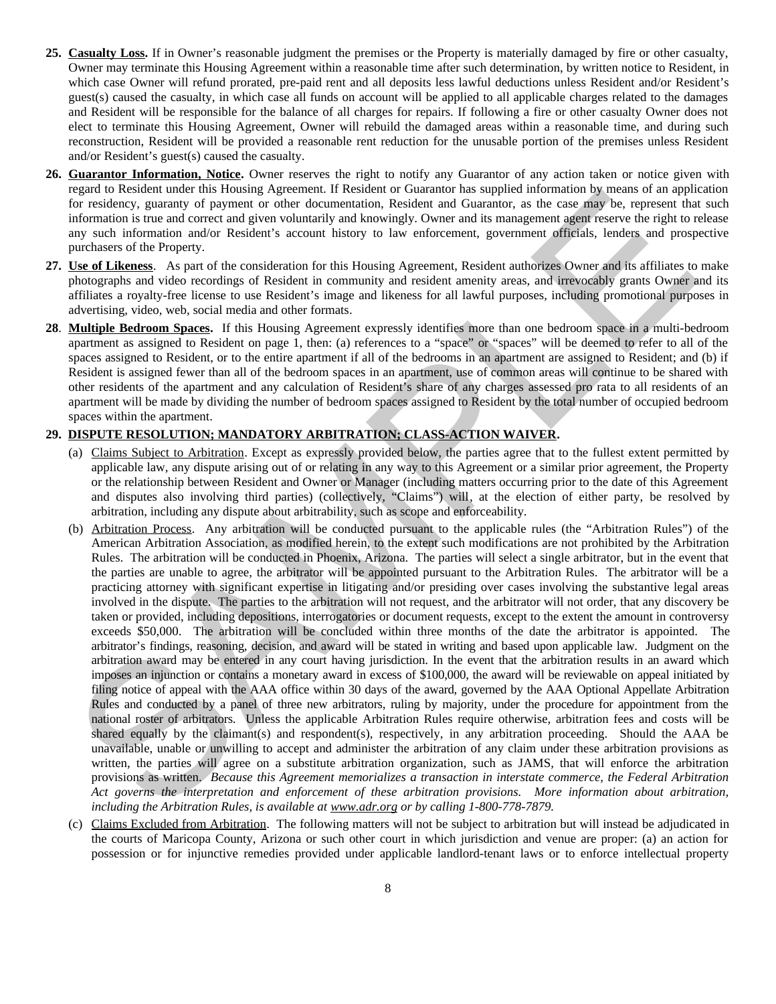- **25. Casualty Loss.** If in Owner's reasonable judgment the premises or the Property is materially damaged by fire or other casualty, Owner may terminate this Housing Agreement within a reasonable time after such determination, by written notice to Resident, in which case Owner will refund prorated, pre-paid rent and all deposits less lawful deductions unless Resident and/or Resident's guest(s) caused the casualty, in which case all funds on account will be applied to all applicable charges related to the damages and Resident will be responsible for the balance of all charges for repairs. If following a fire or other casualty Owner does not elect to terminate this Housing Agreement, Owner will rebuild the damaged areas within a reasonable time, and during such reconstruction, Resident will be provided a reasonable rent reduction for the unusable portion of the premises unless Resident and/or Resident's guest(s) caused the casualty.
- **26. Guarantor Information, Notice.** Owner reserves the right to notify any Guarantor of any action taken or notice given with regard to Resident under this Housing Agreement. If Resident or Guarantor has supplied information by means of an application for residency, guaranty of payment or other documentation, Resident and Guarantor, as the case may be, represent that such information is true and correct and given voluntarily and knowingly. Owner and its management agent reserve the right to release any such information and/or Resident's account history to law enforcement, government officials, lenders and prospective purchasers of the Property.
- **27. Use of Likeness**. As part of the consideration for this Housing Agreement, Resident authorizes Owner and its affiliates to make photographs and video recordings of Resident in community and resident amenity areas, and irrevocably grants Owner and its affiliates a royalty-free license to use Resident's image and likeness for all lawful purposes, including promotional purposes in advertising, video, web, social media and other formats.
- **28**. **Multiple Bedroom Spaces.** If this Housing Agreement expressly identifies more than one bedroom space in a multi-bedroom apartment as assigned to Resident on page 1, then: (a) references to a "space" or "spaces" will be deemed to refer to all of the spaces assigned to Resident, or to the entire apartment if all of the bedrooms in an apartment are assigned to Resident; and (b) if Resident is assigned fewer than all of the bedroom spaces in an apartment, use of common areas will continue to be shared with other residents of the apartment and any calculation of Resident's share of any charges assessed pro rata to all residents of an apartment will be made by dividing the number of bedroom spaces assigned to Resident by the total number of occupied bedroom spaces within the apartment.

# **29. DISPUTE RESOLUTION; MANDATORY ARBITRATION; CLASS-ACTION WAIVER.**

- (a) Claims Subject to Arbitration. Except as expressly provided below, the parties agree that to the fullest extent permitted by applicable law, any dispute arising out of or relating in any way to this Agreement or a similar prior agreement, the Property or the relationship between Resident and Owner or Manager (including matters occurring prior to the date of this Agreement and disputes also involving third parties) (collectively, "Claims") will, at the election of either party, be resolved by arbitration, including any dispute about arbitrability, such as scope and enforceability.
- (b) Arbitration Process. Any arbitration will be conducted pursuant to the applicable rules (the "Arbitration Rules") of the American Arbitration Association, as modified herein, to the extent such modifications are not prohibited by the Arbitration Rules. The arbitration will be conducted in Phoenix, Arizona. The parties will select a single arbitrator, but in the event that the parties are unable to agree, the arbitrator will be appointed pursuant to the Arbitration Rules. The arbitrator will be a practicing attorney with significant expertise in litigating and/or presiding over cases involving the substantive legal areas involved in the dispute. The parties to the arbitration will not request, and the arbitrator will not order, that any discovery be taken or provided, including depositions, interrogatories or document requests, except to the extent the amount in controversy exceeds \$50,000. The arbitration will be concluded within three months of the date the arbitrator is appointed. The arbitrator's findings, reasoning, decision, and award will be stated in writing and based upon applicable law. Judgment on the arbitration award may be entered in any court having jurisdiction. In the event that the arbitration results in an award which imposes an injunction or contains a monetary award in excess of \$100,000, the award will be reviewable on appeal initiated by filing notice of appeal with the AAA office within 30 days of the award, governed by the AAA Optional Appellate Arbitration Rules and conducted by a panel of three new arbitrators, ruling by majority, under the procedure for appointment from the national roster of arbitrators. Unless the applicable Arbitration Rules require otherwise, arbitration fees and costs will be shared equally by the claimant(s) and respondent(s), respectively, in any arbitration proceeding. Should the AAA be unavailable, unable or unwilling to accept and administer the arbitration of any claim under these arbitration provisions as written, the parties will agree on a substitute arbitration organization, such as JAMS, that will enforce the arbitration provisions as written. *Because this Agreement memorializes a transaction in interstate commerce, the Federal Arbitration Act governs the interpretation and enforcement of these arbitration provisions. More information about arbitration, including the Arbitration Rules, is available at www.adr.org or by calling 1-800-778-7879.* regard to Readent under this bossing Agreement. It setsmon to Courante in supplies the readent of Readent under the state of the readent of the state of the properties of the properties of the properties of the mail contr
- (c) Claims Excluded from Arbitration. The following matters will not be subject to arbitration but will instead be adjudicated in the courts of Maricopa County, Arizona or such other court in which jurisdiction and venue are proper: (a) an action for possession or for injunctive remedies provided under applicable landlord-tenant laws or to enforce intellectual property